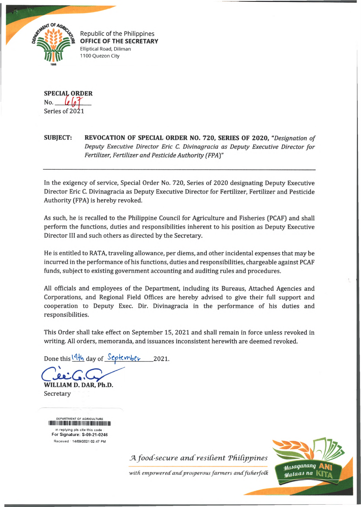

Republic of the Philippines OFFICE OF THE SECRETARY Elliptical Road, Diliman 1100 Quezon City

**SPECIAL ORDER** No. Series of 2021

## **SUBJECT: REVOCATION OF SPECIAL ORDER NO. 720, SERIES OF 2020,** *"Designation of Deputy Executive Director Eric C. Divinagracia as Deputy Executive Director for Fertilizer, Fertilizer and Pesticide Authority (FPAy*

In the exigency of service, Special Order No. 720, Series of 2020 designating Deputy Executive Director Eric C. Divinagracia as Deputy Executive Director for Fertilizer, Fertilizer and Pesticide Authority (FPA) is hereby revoked.

As such, he is recalled to the Philippine Council for Agriculture and Fisheries (PCAF) and shall perform the functions, duties and responsibilities inherent to his position as Deputy Executive Director III and such others as directed by the Secretary.

He is entitled to RATA, traveling allowance, per diems, and other incidental expenses that may be incurred in the performance of his functions, duties and responsibilities, chargeable against PCAF funds, subject to existing government accounting and auditing rules and procedures.

All officials and employees of the Department, including its Bureaus, Attached Agencies and Corporations, and Regional Field Offices are hereby advised to give their full support and cooperation to Deputy Exec. Dir. Divinagracia in the performance of his duties and responsibilities.

This Order shall take effect on September 15, 2021 and shall remain in force unless revoked in writing. All orders, memoranda, and issuances inconsistent herewith are deemed revoked.

Done this  $\frac{14\frac{1}{2}}{\frac{36}{2}}$  day of  $\frac{66}{2021}$ .

**WILLIAM D. DAR, Ph.D.**

Secretary

DEPARTMENT OF AGRICULTURE **i i i i i i i i i i i i i i i i n i i n i i i i i i i i i i i i i i i i i n i i i i i i i i n i i i i i i i i i i** in replying pis cite this code For Signature: S-09-21-0246 Received 14/09/2021 02:47 PM

*A food-secure and resilient Philippines* 



with empowered and prosperous farmers and fisherfolk